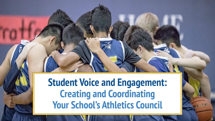## **Student Voice and Engagement: Creating and Coordinating Your School's Athletics Council**

 $1T<sub>2</sub>$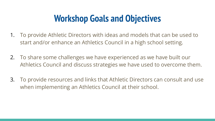### **Workshop Goals and Objectives**

- 1. To provide Athletic Directors with ideas and models that can be used to start and/or enhance an Athletics Council in a high school setting.
- 2. To share some challenges we have experienced as we have built our Athletics Council and discuss strategies we have used to overcome them.
- 3. To provide resources and links that Athletic Directors can consult and use when implementing an Athletics Council at their school.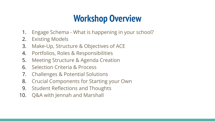## **Workshop Overview**

- 1. Engage Schema What is happening in your school?
- 2. Existing Models
- 3. Make-Up, Structure & Objectives of ACE
- 4. Portfolios, Roles & Responsibilities
- 5. Meeting Structure & Agenda Creation
- 6. Selection Criteria & Process
- 7. Challenges & Potential Solutions
- 8. Crucial Components for Starting your Own
- 9. Student Reflections and Thoughts
- 10. Q&A with Jennah and Marshall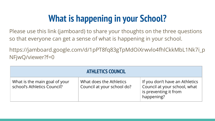# **What is happening in your School?**

Please use this link (jamboard) to share your thoughts on the three questions so that everyone can get a sense of what is happening in your school.

https://jamboard.google.com/d/1pPT8fq83gTpMdOiXrwvlo4fhlCkkMbL1Nk7i\_p NFjwQ/viewer?f=0

| <b>ATHLETICS COUNCIL</b>                                     |                                                       |                                                                                                       |  |
|--------------------------------------------------------------|-------------------------------------------------------|-------------------------------------------------------------------------------------------------------|--|
| What is the main goal of your<br>school's Athletics Council? | What does the Athletics<br>Council at your school do? | If you don't have an Athletics<br>Council at your school, what<br>is preventing it from<br>happening? |  |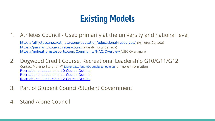## **Existing Models**

1. Athletes Council - Used primarily at the university and national level

<https://athletescan.ca/athlete-zone/education/educational-resources/> (Athletes Canada) <https://paralympic.ca/athletes-council> (Paralympics Canada) <https://goheat.prestosports.com/Community/HAC/Overview> (UBC Okanagan)

- 2. Dogwood Credit Course, Recreational Leadership G10/G11/G12 Contact Moreno Stefanon @ [Moreno.Stefanon@burnabyschools.ca](mailto:Moreno.Stefanon@burnabyschools.ca) for more information [Recreational Leadership 10 Course Outline](https://docs.google.com/document/d/1ys3irzl8TERRpFCVp_NOEEYwooNnfKx6/edit?usp=sharing&ouid=116820625534065346739&rtpof=true&sd=true) [Recreational Leadership 11 Course Outline](https://docs.google.com/document/d/1FU0HexHzYTD9ASEx5QW3nSVM9wyo5xJW/edit?usp=sharing&ouid=116820625534065346739&rtpof=true&sd=true) [Recreational Leadership 12 Course Outline](https://docs.google.com/document/d/1xD_BxQlmPc2I2w49eJgDY2YyeIgp9NbI/edit?usp=sharing&ouid=116820625534065346739&rtpof=true&sd=true)
- 3. Part of Student Council/Student Government
- 4. Stand Alone Council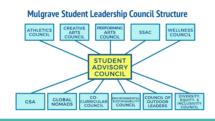### **Mulgrave Student Leadership Council Structure**

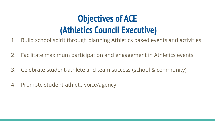### **Objectives of ACE (Athletics Council Executive)**

- 1. Build school spirit through planning Athletics based events and activities
- 2. Facilitate maximum participation and engagement in Athletics events
- 3. Celebrate student-athlete and team success (school & community)
- 4. Promote student-athlete voice/agency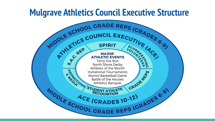#### **Mulgrave Athletics Council Executive Structure**

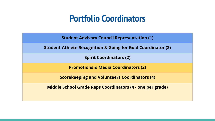#### **Portfolio Coordinators**

**Student Advisory Council Representation (1)**

**Student-Athlete Recognition & Going for Gold Coordinator (2)**

**Spirit Coordinators (2)**

**Promotions & Media Coordinators (2)**

**Scorekeeping and Volunteers Coordinators (4)**

**Middle School Grade Reps Coordinators (4 - one per grade)**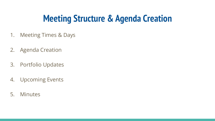### **Meeting Structure & Agenda Creation**

- 1. Meeting Times & Days
- 2. Agenda Creation
- 3. Portfolio Updates
- 4. Upcoming Events
- 5. Minutes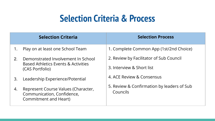### **Selection Criteria & Process**

|                                                      | <b>Selection Criteria</b>                                                                  | <b>Selection Process</b>                               |
|------------------------------------------------------|--------------------------------------------------------------------------------------------|--------------------------------------------------------|
|                                                      | Play on at least one School Team                                                           | 1. Complete Common App (1st/2nd Choice)                |
| Demonstrated Involvement In School<br>2 <sub>1</sub> | 2. Review by Facilitator of Sub Council                                                    |                                                        |
|                                                      | Based Athletics Events & Activities<br>(CAS Portfolio)                                     | 3. Interview & Short list                              |
| 3.                                                   | Leadership Experience/Potential                                                            | 4. ACE Review & Consensus                              |
| 4.                                                   | Represent Course Values (Character,<br>Communication, Confidence,<br>Commitment and Heart) | 5. Review & Confirmation by leaders of Sub<br>Councils |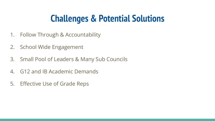## **Challenges & Potential Solutions**

- 1. Follow Through & Accountability
- 2. School Wide Engagement
- 3. Small Pool of Leaders & Many Sub Councils
- 4. G12 and IB Academic Demands
- 5. Effective Use of Grade Reps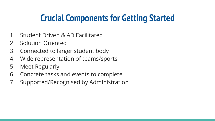### **Crucial Components for Getting Started**

- 1. Student Driven & AD Facilitated
- 2. Solution Oriented
- 3. Connected to larger student body
- 4. Wide representation of teams/sports
- 5. Meet Regularly
- 6. Concrete tasks and events to complete
- 7. Supported/Recognised by Administration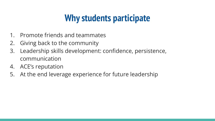### **Why students participate**

- 1. Promote friends and teammates
- 2. Giving back to the community
- 3. Leadership skills development: confidence, persistence, communication
- 4. ACE's reputation
- 5. At the end leverage experience for future leadership